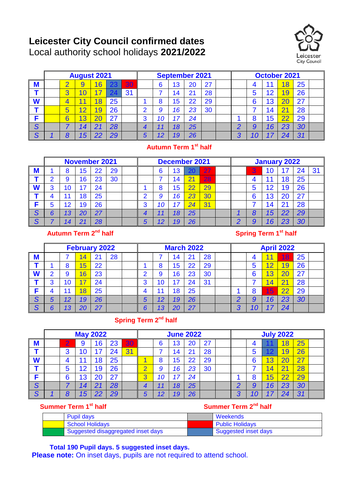# **Leicester City Council confirmed dates** Local authority school holidays **2021/2022**



|             | <b>August 2021</b> |   |    |                |    |    |   | <b>September 2021</b> |    |    |    |  | <b>October 2021</b> |   |    |    |    |  |
|-------------|--------------------|---|----|----------------|----|----|---|-----------------------|----|----|----|--|---------------------|---|----|----|----|--|
| M           |                    |   | y  | $\overline{6}$ | 23 | 30 |   | 6                     | 13 | 20 | 27 |  |                     |   |    |    | 25 |  |
|             |                    | 3 |    | ⇁              |    | 31 |   |                       |    |    | 28 |  |                     |   |    |    | 26 |  |
| W           |                    |   |    | $\overline{8}$ | 25 |    |   |                       | 15 | 22 | 29 |  |                     | 6 | 13 |    | 27 |  |
|             |                    | 5 |    | 9              | 26 |    | ◠ |                       | 16 | 23 | 30 |  |                     |   | 4  |    | 28 |  |
|             |                    | 6 | 3  |                | 27 |    | ึ | 10                    | 17 | 24 |    |  |                     |   | 15 | 22 | 29 |  |
| S           |                    |   | 14 |                | 28 |    |   |                       | 18 | 25 |    |  |                     |   | 16 | 23 | 30 |  |
| $\mathbf C$ |                    |   | 15 | 22             | 29 |    |   |                       | 19 | 26 |    |  | ◚                   |   |    |    | 31 |  |

#### **Autumn Term 1st half**

|                  | <b>November 2021</b> |    |                          |    |    |  | <b>December 2021</b> |          |    |    |    | <b>January 2022</b> |  |   |    |             |    |    |
|------------------|----------------------|----|--------------------------|----|----|--|----------------------|----------|----|----|----|---------------------|--|---|----|-------------|----|----|
| M                |                      | 8  | 15                       | 22 | 29 |  |                      | 6        | 13 | 20 | 27 |                     |  | 3 |    |             | 24 | 31 |
|                  | റ                    | 9  | 16                       | 23 | 30 |  |                      |          | 14 |    | 28 |                     |  |   |    | 18          | 25 |    |
| W                | 2                    | 10 | $\overline{\phantom{a}}$ | 24 |    |  |                      | $\Omega$ | 15 |    | 29 |                     |  |   | 12 | 19          | 26 |    |
|                  |                      | 1  | 18                       | 25 |    |  | ◠                    | 9        | 16 | 23 | 30 |                     |  | 6 | 13 | 20          | 27 |    |
|                  | 5                    | 12 | 19                       | 26 |    |  | 3                    | 10       | 17 | 24 | 31 |                     |  |   | 14 | $2^{\cdot}$ | 28 |    |
| S                | 6                    | 13 | 20                       | 27 |    |  | 4                    |          | 18 | 25 |    |                     |  | o | 15 | 22          | 29 |    |
| C<br>$\mathbf o$ |                      | 14 |                          | 28 |    |  | 5                    | 12       | 19 | 26 |    |                     |  |   |    | റാ          | 30 |    |

## Autumn Term 2<sup>nd</sup> half

**Spring Term 1<sup>st</sup> half** 

|        | <b>February 2022</b> |    |                         |    |    |  |   | <b>March 2022</b> |    |      |    |  | <b>April 2022</b> |   |    |                         |    |  |
|--------|----------------------|----|-------------------------|----|----|--|---|-------------------|----|------|----|--|-------------------|---|----|-------------------------|----|--|
| M      |                      |    | 4                       | 21 | 28 |  |   |                   | 14 | . 21 | 28 |  |                   |   |    | 18                      | 25 |  |
|        |                      | 8  | $\overline{\mathbf{5}}$ | 22 |    |  |   |                   | 15 | 22   | 29 |  |                   | w | ◠  |                         | 26 |  |
| W      | ◠                    | 9  | 6                       | 23 |    |  |   | 9                 | 16 | 23   | 30 |  |                   |   | 3  |                         | 27 |  |
|        | 3                    | 10 | 7                       | 24 |    |  | ≏ | 10                |    | 24   | 31 |  |                   |   |    | $\overline{2}$          | 28 |  |
|        |                      |    | 8                       | 25 |    |  |   |                   | 18 | 25   |    |  |                   |   | 15 | $\overline{22}$         | 29 |  |
| S      |                      | 12 | 19                      | 26 |    |  | 5 | 12                | 19 | 26   |    |  |                   |   | 16 | 23                      | 30 |  |
| C<br>Ő |                      | 13 | 20                      | 27 |    |  |   | 13                |    | 27   |    |  | σ                 |   |    | $\mathcal{D}_{\lambda}$ |    |  |

## **Spring Term 2nd half**

|                   | <b>May 2022</b> |   |                |    |    |    |   | <b>June 2022</b> |    |    |    |  | <b>July 2022</b> |   |    |    |    |  |
|-------------------|-----------------|---|----------------|----|----|----|---|------------------|----|----|----|--|------------------|---|----|----|----|--|
| M                 |                 |   | 9              | 16 | 23 | 30 |   |                  | 13 | 20 | 27 |  |                  |   |    | Я  | 25 |  |
|                   |                 | 3 |                |    | 24 | 31 |   |                  | 14 | 21 | 28 |  |                  | u |    |    | 26 |  |
| W                 |                 | 4 |                | 18 | 25 |    |   |                  | 15 | 22 | 29 |  |                  |   |    |    | 27 |  |
|                   |                 | 5 | $\overline{2}$ | 19 | 26 |    |   |                  | 16 | 23 | 30 |  |                  |   |    | ာ  | 28 |  |
|                   |                 | 6 | 13             |    | 27 |    | ാ |                  |    | 24 |    |  |                  |   | ე  |    | 29 |  |
| S                 |                 |   | 14             |    | 28 |    |   |                  | 18 | 25 |    |  |                  |   | 16 | 23 | 30 |  |
| $\mathbf{\Gamma}$ |                 | Ο | 15             | つつ | 29 |    |   | ィク               | 19 | 26 |    |  | ◠                |   |    | n  | 31 |  |

#### **Summer Term 1st half**

| <b>Pupil days</b>                  | Weekends               |
|------------------------------------|------------------------|
| <b>School Holidays</b>             | <b>Public Holidays</b> |
| Suggested disaggregated inset days | Suggested inset days   |

**Summer Term 2nd half**

**Total 190 Pupil days. 5 suggested inset days.** 

**Please note:** On inset days, pupils are not required to attend school.